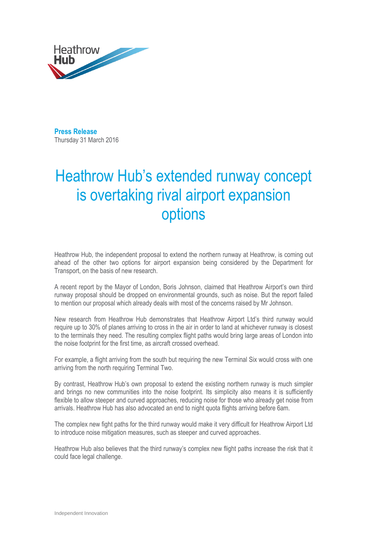

**Press Release**  Thursday 31 March 2016

## Heathrow Hub's extended runway concept is overtaking rival airport expansion options

Heathrow Hub, the independent proposal to extend the northern runway at Heathrow, is coming out ahead of the other two options for airport expansion being considered by the Department for Transport, on the basis of new research.

A recent report by the Mayor of London, Boris Johnson, claimed that Heathrow Airport's own third runway proposal should be dropped on environmental grounds, such as noise. But the report failed to mention our proposal which already deals with most of the concerns raised by Mr Johnson.

New research from Heathrow Hub demonstrates that Heathrow Airport Ltd's third runway would require up to 30% of planes arriving to cross in the air in order to land at whichever runway is closest to the terminals they need. The resulting complex flight paths would bring large areas of London into the noise footprint for the first time, as aircraft crossed overhead.

For example, a flight arriving from the south but requiring the new Terminal Six would cross with one arriving from the north requiring Terminal Two.

By contrast, Heathrow Hub's own proposal to extend the existing northern runway is much simpler and brings no new communities into the noise footprint. Its simplicity also means it is sufficiently flexible to allow steeper and curved approaches, reducing noise for those who already get noise from arrivals. Heathrow Hub has also advocated an end to night quota flights arriving before 6am.

The complex new fight paths for the third runway would make it very difficult for Heathrow Airport Ltd to introduce noise mitigation measures, such as steeper and curved approaches.

Heathrow Hub also believes that the third runway's complex new flight paths increase the risk that it could face legal challenge.